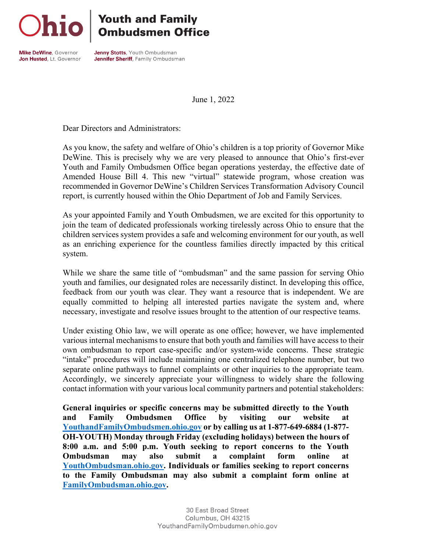## **Youth and Family<br>Ombudsmen Office**

Mike DeWine, Governor Jon Husted, Lt. Governor

**Jenny Stotts** Youth Ombudsman Jennifer Sheriff, Family Ombudsman

June 1, 2022

Dear Directors and Administrators:

As you know, the safety and welfare of Ohio's children is a top priority of Governor Mike DeWine. This is precisely why we are very pleased to announce that Ohio's first-ever Youth and Family Ombudsmen Office began operations yesterday, the effective date of Amended House Bill 4. This new "virtual" statewide program, whose creation was recommended in Governor DeWine's Children Services Transformation Advisory Council report, is currently housed within the Ohio Department of Job and Family Services.

As your appointed Family and Youth Ombudsmen, we are excited for this opportunity to join the team of dedicated professionals working tirelessly across Ohio to ensure that the children services system provides a safe and welcoming environment for our youth, as well as an enriching experience for the countless families directly impacted by this critical system.

While we share the same title of "ombudsman" and the same passion for serving Ohio youth and families, our designated roles are necessarily distinct. In developing this office, feedback from our youth was clear. They want a resource that is independent. We are equally committed to helping all interested parties navigate the system and, where necessary, investigate and resolve issues brought to the attention of our respective teams.

Under existing Ohio law, we will operate as one office; however, we have implemented various internal mechanisms to ensure that both youth and families will have access to their own ombudsman to report case-specific and/or system-wide concerns. These strategic "intake" procedures will include maintaining one centralized telephone number, but two separate online pathways to funnel complaints or other inquiries to the appropriate team. Accordingly, we sincerely appreciate your willingness to widely share the following contact information with your various local community partners and potential stakeholders:

**General inquiries or specific concerns may be submitted directly to the Youth and Family Ombudsmen Office by visiting our website at [YouthandFamilyOmbudsmen.ohio.gov](https://youthandfamilyombudsmen.ohio.gov/) or by calling us at 1-877-649-6884 (1-877- OH-YOUTH) Monday through Friday (excluding holidays) between the hours of 8:00 a.m. and 5:00 p.m. Youth seeking to report concerns to the Youth Ombudsman may also submit a complaint form online at [YouthOmbudsman.ohio.gov.](https://youthandfamilyombudsmen.ohio.gov/youth/) Individuals or families seeking to report concerns to the Family Ombudsman may also submit a complaint form online at [FamilyOmbudsman.ohio.gov.](https://youthandfamilyombudsmen.ohio.gov/family/)**